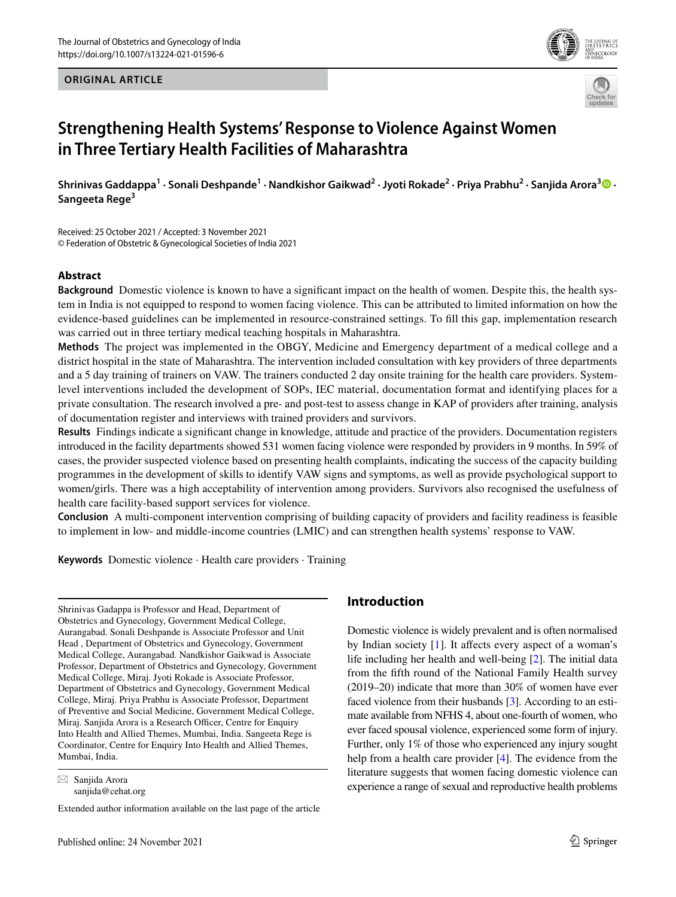#### **ORIGINAL ARTICLE**





# **Strengthening Health Systems' Response to Violence Against Women in Three Tertiary Health Facilities of Maharashtra**

 ${\sf Shrinivas}$  Gaddappa $^1\cdot{\sf Sonali}$  Deshpande $^1\cdot{\sf N}$ andkishor Gaikwad $^2\cdot{\sf Jyoti}$  Rokade $^2\cdot{\sf Priya}$  Prabhu $^2\cdot{\sf Sanjida}$  Arora $^3\bullet\cdot{\sf N}$ **Sangeeta Rege<sup>3</sup>**

Received: 25 October 2021 / Accepted: 3 November 2021 © Federation of Obstetric & Gynecological Societies of India 2021

#### **Abstract**

**Background** Domestic violence is known to have a signifcant impact on the health of women. Despite this, the health system in India is not equipped to respond to women facing violence. This can be attributed to limited information on how the evidence-based guidelines can be implemented in resource-constrained settings. To fll this gap, implementation research was carried out in three tertiary medical teaching hospitals in Maharashtra.

**Methods** The project was implemented in the OBGY, Medicine and Emergency department of a medical college and a district hospital in the state of Maharashtra. The intervention included consultation with key providers of three departments and a 5 day training of trainers on VAW. The trainers conducted 2 day onsite training for the health care providers. Systemlevel interventions included the development of SOPs, IEC material, documentation format and identifying places for a private consultation. The research involved a pre- and post-test to assess change in KAP of providers after training, analysis of documentation register and interviews with trained providers and survivors.

**Results** Findings indicate a signifcant change in knowledge, attitude and practice of the providers. Documentation registers introduced in the facility departments showed 531 women facing violence were responded by providers in 9 months. In 59% of cases, the provider suspected violence based on presenting health complaints, indicating the success of the capacity building programmes in the development of skills to identify VAW signs and symptoms, as well as provide psychological support to women/girls. There was a high acceptability of intervention among providers. Survivors also recognised the usefulness of health care facility-based support services for violence.

**Conclusion** A multi-component intervention comprising of building capacity of providers and facility readiness is feasible to implement in low- and middle-income countries (LMIC) and can strengthen health systems' response to VAW.

**Keywords** Domestic violence · Health care providers · Training

Shrinivas Gadappa is Professor and Head, Department of Obstetrics and Gynecology, Government Medical College, Aurangabad. Sonali Deshpande is Associate Professor and Unit Head , Department of Obstetrics and Gynecology, Government Medical College, Aurangabad. Nandkishor Gaikwad is Associate Professor, Department of Obstetrics and Gynecology, Government Medical College, Miraj. Jyoti Rokade is Associate Professor, Department of Obstetrics and Gynecology, Government Medical College, Miraj. Priya Prabhu is Associate Professor, Department of Preventive and Social Medicine, Government Medical College, Miraj. Sanjida Arora is a Research Officer, Centre for Enquiry Into Health and Allied Themes, Mumbai, India. Sangeeta Rege is Coordinator, Centre for Enquiry Into Health and Allied Themes, Mumbai, India.

## **Introduction**

Domestic violence is widely prevalent and is often normalised by Indian society  $[1]$  $[1]$  $[1]$ . It affects every aspect of a woman's life including her health and well-being [\[2\]](#page-4-1). The initial data from the ffth round of the National Family Health survey (2019–20) indicate that more than 30% of women have ever faced violence from their husbands [\[3](#page-4-2)]. According to an estimate available from NFHS 4, about one-fourth of women, who ever faced spousal violence, experienced some form of injury. Further, only 1% of those who experienced any injury sought help from a health care provider [[4\]](#page-4-3). The evidence from the literature suggests that women facing domestic violence can experience a range of sexual and reproductive health problems

 $\boxtimes$  Sanjida Arora sanjida@cehat.org

Extended author information available on the last page of the article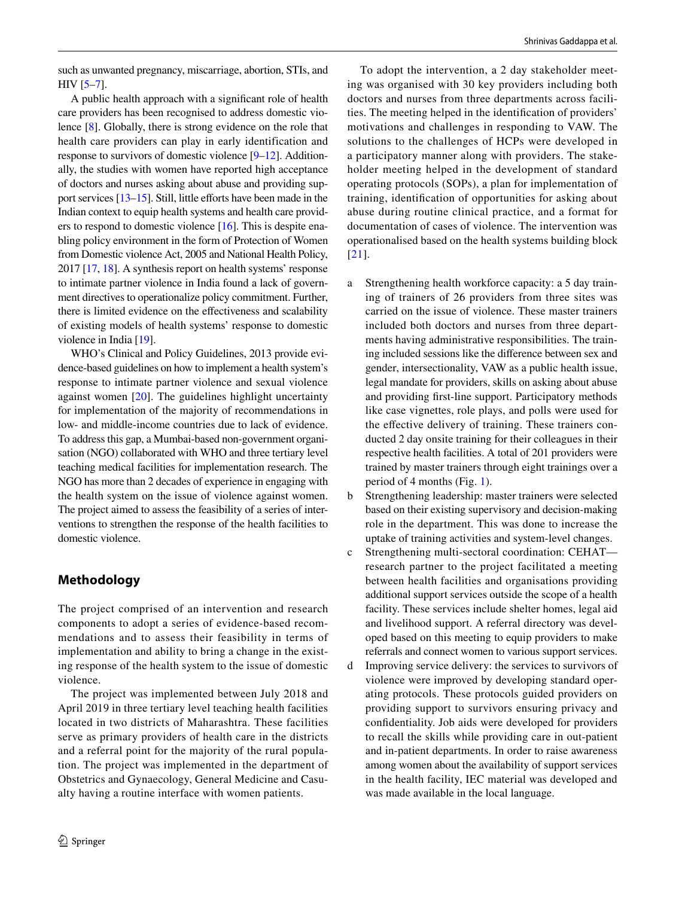such as unwanted pregnancy, miscarriage, abortion, STIs, and HIV [\[5–](#page-4-4)[7\]](#page-4-5).

A public health approach with a signifcant role of health care providers has been recognised to address domestic violence [\[8](#page-4-6)]. Globally, there is strong evidence on the role that health care providers can play in early identification and response to survivors of domestic violence [\[9](#page-4-7)[–12](#page-4-8)]. Additionally, the studies with women have reported high acceptance of doctors and nurses asking about abuse and providing support services  $[13-15]$  $[13-15]$ . Still, little efforts have been made in the Indian context to equip health systems and health care providers to respond to domestic violence [\[16\]](#page-4-11). This is despite enabling policy environment in the form of Protection of Women from Domestic violence Act, 2005 and National Health Policy, 2017 [\[17,](#page-4-12) [18](#page-4-13)]. A synthesis report on health systems' response to intimate partner violence in India found a lack of government directives to operationalize policy commitment. Further, there is limited evidence on the efectiveness and scalability of existing models of health systems' response to domestic violence in India [\[19\]](#page-4-14).

WHO's Clinical and Policy Guidelines, 2013 provide evidence-based guidelines on how to implement a health system's response to intimate partner violence and sexual violence against women [\[20](#page-5-0)]. The guidelines highlight uncertainty for implementation of the majority of recommendations in low- and middle-income countries due to lack of evidence. To address this gap, a Mumbai-based non-government organisation (NGO) collaborated with WHO and three tertiary level teaching medical facilities for implementation research. The NGO has more than 2 decades of experience in engaging with the health system on the issue of violence against women. The project aimed to assess the feasibility of a series of interventions to strengthen the response of the health facilities to domestic violence.

# **Methodology**

The project comprised of an intervention and research components to adopt a series of evidence-based recommendations and to assess their feasibility in terms of implementation and ability to bring a change in the existing response of the health system to the issue of domestic violence.

The project was implemented between July 2018 and April 2019 in three tertiary level teaching health facilities located in two districts of Maharashtra. These facilities serve as primary providers of health care in the districts and a referral point for the majority of the rural population. The project was implemented in the department of Obstetrics and Gynaecology, General Medicine and Casualty having a routine interface with women patients.

To adopt the intervention, a 2 day stakeholder meeting was organised with 30 key providers including both doctors and nurses from three departments across facilities. The meeting helped in the identifcation of providers' motivations and challenges in responding to VAW. The solutions to the challenges of HCPs were developed in a participatory manner along with providers. The stakeholder meeting helped in the development of standard operating protocols (SOPs), a plan for implementation of training, identifcation of opportunities for asking about abuse during routine clinical practice, and a format for documentation of cases of violence. The intervention was operationalised based on the health systems building block [[21](#page-5-1)].

- a Strengthening health workforce capacity: a 5 day training of trainers of 26 providers from three sites was carried on the issue of violence. These master trainers included both doctors and nurses from three departments having administrative responsibilities. The training included sessions like the diference between sex and gender, intersectionality, VAW as a public health issue, legal mandate for providers, skills on asking about abuse and providing frst-line support. Participatory methods like case vignettes, role plays, and polls were used for the effective delivery of training. These trainers conducted 2 day onsite training for their colleagues in their respective health facilities. A total of 201 providers were trained by master trainers through eight trainings over a period of 4 months (Fig. [1](#page-2-0)).
- b Strengthening leadership: master trainers were selected based on their existing supervisory and decision-making role in the department. This was done to increase the uptake of training activities and system-level changes.
- c Strengthening multi-sectoral coordination: CEHAT research partner to the project facilitated a meeting between health facilities and organisations providing additional support services outside the scope of a health facility. These services include shelter homes, legal aid and livelihood support. A referral directory was developed based on this meeting to equip providers to make referrals and connect women to various support services.
- d Improving service delivery: the services to survivors of violence were improved by developing standard operating protocols. These protocols guided providers on providing support to survivors ensuring privacy and confdentiality. Job aids were developed for providers to recall the skills while providing care in out-patient and in-patient departments. In order to raise awareness among women about the availability of support services in the health facility, IEC material was developed and was made available in the local language.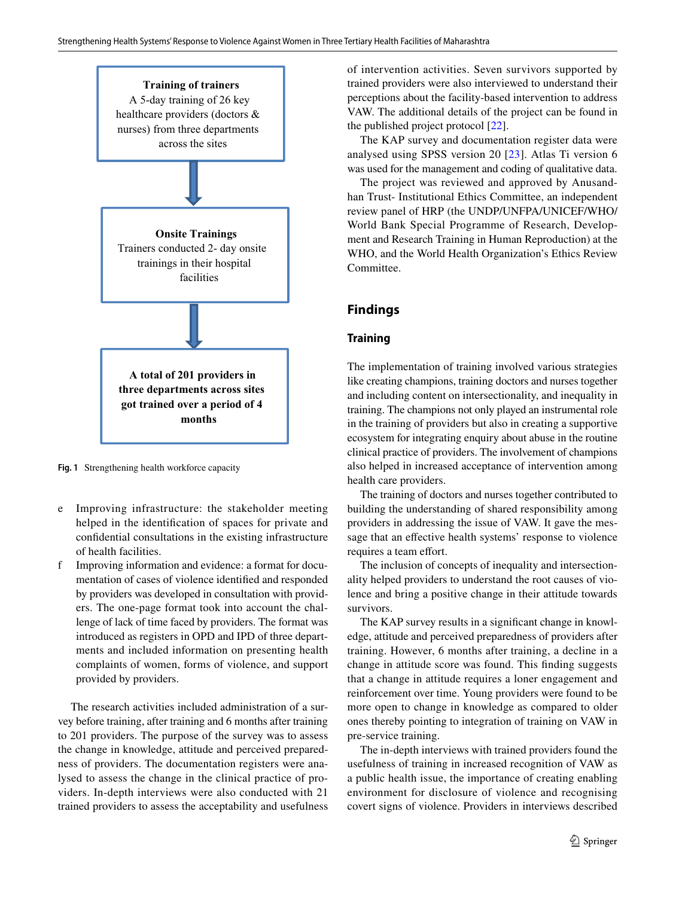

<span id="page-2-0"></span>**Fig. 1** Strengthening health workforce capacity

- e Improving infrastructure: the stakeholder meeting helped in the identifcation of spaces for private and confdential consultations in the existing infrastructure of health facilities.
- f Improving information and evidence: a format for documentation of cases of violence identifed and responded by providers was developed in consultation with providers. The one-page format took into account the challenge of lack of time faced by providers. The format was introduced as registers in OPD and IPD of three departments and included information on presenting health complaints of women, forms of violence, and support provided by providers.

The research activities included administration of a survey before training, after training and 6 months after training to 201 providers. The purpose of the survey was to assess the change in knowledge, attitude and perceived preparedness of providers. The documentation registers were analysed to assess the change in the clinical practice of providers. In-depth interviews were also conducted with 21 trained providers to assess the acceptability and usefulness of intervention activities. Seven survivors supported by trained providers were also interviewed to understand their perceptions about the facility-based intervention to address VAW. The additional details of the project can be found in the published project protocol [[22\]](#page-5-2).

The KAP survey and documentation register data were analysed using SPSS version 20 [\[23\]](#page-5-3). Atlas Ti version 6 was used for the management and coding of qualitative data.

The project was reviewed and approved by Anusandhan Trust- Institutional Ethics Committee, an independent review panel of HRP (the UNDP/UNFPA/UNICEF/WHO/ World Bank Special Programme of Research, Development and Research Training in Human Reproduction) at the WHO, and the World Health Organization's Ethics Review Committee.

## **Findings**

#### **Training**

The implementation of training involved various strategies like creating champions, training doctors and nurses together and including content on intersectionality, and inequality in training. The champions not only played an instrumental role in the training of providers but also in creating a supportive ecosystem for integrating enquiry about abuse in the routine clinical practice of providers. The involvement of champions also helped in increased acceptance of intervention among health care providers.

The training of doctors and nurses together contributed to building the understanding of shared responsibility among providers in addressing the issue of VAW. It gave the message that an efective health systems' response to violence requires a team effort.

The inclusion of concepts of inequality and intersectionality helped providers to understand the root causes of violence and bring a positive change in their attitude towards survivors.

The KAP survey results in a signifcant change in knowledge, attitude and perceived preparedness of providers after training. However, 6 months after training, a decline in a change in attitude score was found. This fnding suggests that a change in attitude requires a loner engagement and reinforcement over time. Young providers were found to be more open to change in knowledge as compared to older ones thereby pointing to integration of training on VAW in pre-service training.

The in-depth interviews with trained providers found the usefulness of training in increased recognition of VAW as a public health issue, the importance of creating enabling environment for disclosure of violence and recognising covert signs of violence. Providers in interviews described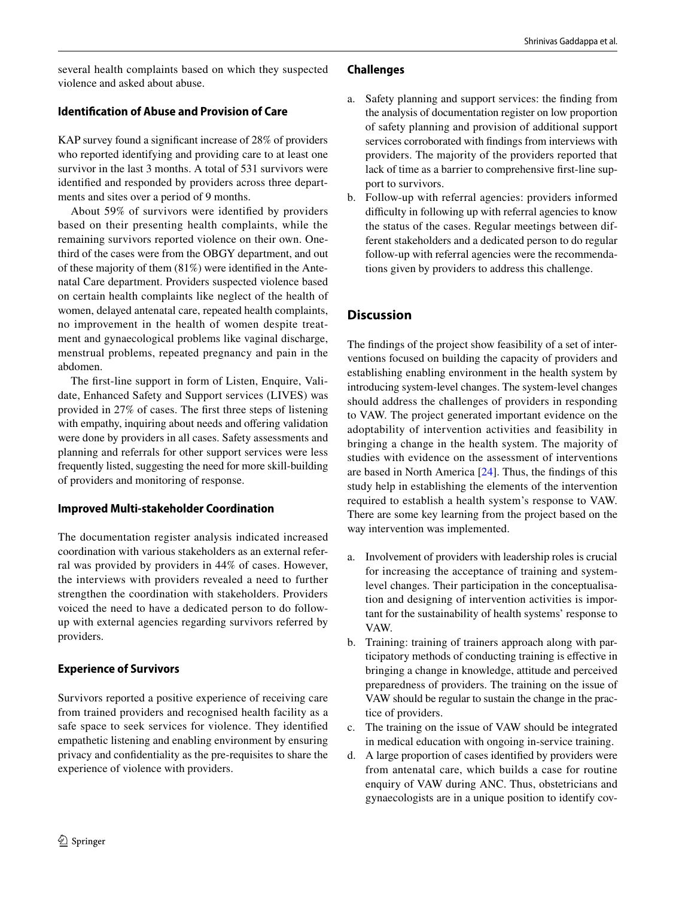several health complaints based on which they suspected violence and asked about abuse.

#### **Identifcation of Abuse and Provision of Care**

KAP survey found a signifcant increase of 28% of providers who reported identifying and providing care to at least one survivor in the last 3 months. A total of 531 survivors were identifed and responded by providers across three departments and sites over a period of 9 months.

About 59% of survivors were identifed by providers based on their presenting health complaints, while the remaining survivors reported violence on their own. Onethird of the cases were from the OBGY department, and out of these majority of them (81%) were identifed in the Antenatal Care department. Providers suspected violence based on certain health complaints like neglect of the health of women, delayed antenatal care, repeated health complaints, no improvement in the health of women despite treatment and gynaecological problems like vaginal discharge, menstrual problems, repeated pregnancy and pain in the abdomen.

The frst-line support in form of Listen, Enquire, Validate, Enhanced Safety and Support services (LIVES) was provided in 27% of cases. The frst three steps of listening with empathy, inquiring about needs and offering validation were done by providers in all cases. Safety assessments and planning and referrals for other support services were less frequently listed, suggesting the need for more skill-building of providers and monitoring of response.

## **Improved Multi‑stakeholder Coordination**

The documentation register analysis indicated increased coordination with various stakeholders as an external referral was provided by providers in 44% of cases. However, the interviews with providers revealed a need to further strengthen the coordination with stakeholders. Providers voiced the need to have a dedicated person to do followup with external agencies regarding survivors referred by providers.

## **Experience of Survivors**

Survivors reported a positive experience of receiving care from trained providers and recognised health facility as a safe space to seek services for violence. They identifed empathetic listening and enabling environment by ensuring privacy and confdentiality as the pre-requisites to share the experience of violence with providers.

#### **Challenges**

- Safety planning and support services: the finding from the analysis of documentation register on low proportion of safety planning and provision of additional support services corroborated with fndings from interviews with providers. The majority of the providers reported that lack of time as a barrier to comprehensive frst-line support to survivors.
- b. Follow-up with referral agencies: providers informed difficulty in following up with referral agencies to know the status of the cases. Regular meetings between different stakeholders and a dedicated person to do regular follow-up with referral agencies were the recommendations given by providers to address this challenge.

## **Discussion**

The fndings of the project show feasibility of a set of interventions focused on building the capacity of providers and establishing enabling environment in the health system by introducing system-level changes. The system-level changes should address the challenges of providers in responding to VAW. The project generated important evidence on the adoptability of intervention activities and feasibility in bringing a change in the health system. The majority of studies with evidence on the assessment of interventions are based in North America [\[24\]](#page-5-4). Thus, the fndings of this study help in establishing the elements of the intervention required to establish a health system's response to VAW. There are some key learning from the project based on the way intervention was implemented.

- a. Involvement of providers with leadership roles is crucial for increasing the acceptance of training and systemlevel changes. Their participation in the conceptualisation and designing of intervention activities is important for the sustainability of health systems' response to VAW.
- b. Training: training of trainers approach along with participatory methods of conducting training is efective in bringing a change in knowledge, attitude and perceived preparedness of providers. The training on the issue of VAW should be regular to sustain the change in the practice of providers.
- c. The training on the issue of VAW should be integrated in medical education with ongoing in-service training.
- d. A large proportion of cases identifed by providers were from antenatal care, which builds a case for routine enquiry of VAW during ANC. Thus, obstetricians and gynaecologists are in a unique position to identify cov-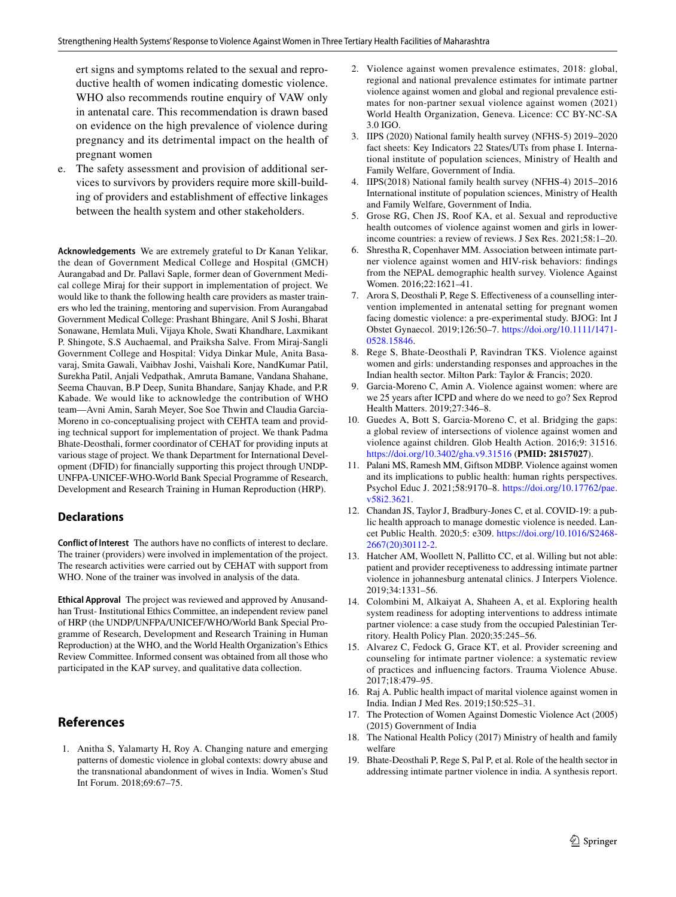ert signs and symptoms related to the sexual and reproductive health of women indicating domestic violence. WHO also recommends routine enquiry of VAW only in antenatal care. This recommendation is drawn based on evidence on the high prevalence of violence during pregnancy and its detrimental impact on the health of pregnant women

e. The safety assessment and provision of additional services to survivors by providers require more skill-building of providers and establishment of efective linkages between the health system and other stakeholders.

**Acknowledgements** We are extremely grateful to Dr Kanan Yelikar, the dean of Government Medical College and Hospital (GMCH) Aurangabad and Dr. Pallavi Saple, former dean of Government Medical college Miraj for their support in implementation of project. We would like to thank the following health care providers as master trainers who led the training, mentoring and supervision. From Aurangabad Government Medical College: Prashant Bhingare, Anil S Joshi, Bharat Sonawane, Hemlata Muli, Vijaya Khole, Swati Khandhare, Laxmikant P. Shingote, S.S Auchaemal, and Praiksha Salve. From Miraj-Sangli Government College and Hospital: Vidya Dinkar Mule, Anita Basavaraj, Smita Gawali, Vaibhav Joshi, Vaishali Kore, NandKumar Patil, Surekha Patil, Anjali Vedpathak, Amruta Bamane, Vandana Shahane, Seema Chauvan, B.P Deep, Sunita Bhandare, Sanjay Khade, and P.R Kabade. We would like to acknowledge the contribution of WHO team—Avni Amin, Sarah Meyer, Soe Soe Thwin and Claudia Garcia-Moreno in co-conceptualising project with CEHTA team and providing technical support for implementation of project. We thank Padma Bhate-Deosthali, former coordinator of CEHAT for providing inputs at various stage of project. We thank Department for International Development (DFID) for fnancially supporting this project through UNDP-UNFPA-UNICEF-WHO-World Bank Special Programme of Research, Development and Research Training in Human Reproduction (HRP).

#### **Declarations**

**Conflict of Interest** The authors have no conficts of interest to declare. The trainer (providers) were involved in implementation of the project. The research activities were carried out by CEHAT with support from WHO. None of the trainer was involved in analysis of the data.

**Ethical Approval** The project was reviewed and approved by Anusandhan Trust- Institutional Ethics Committee, an independent review panel of HRP (the UNDP/UNFPA/UNICEF/WHO/World Bank Special Programme of Research, Development and Research Training in Human Reproduction) at the WHO, and the World Health Organization's Ethics Review Committee. Informed consent was obtained from all those who participated in the KAP survey, and qualitative data collection.

## **References**

<span id="page-4-0"></span>1. Anitha S, Yalamarty H, Roy A. Changing nature and emerging patterns of domestic violence in global contexts: dowry abuse and the transnational abandonment of wives in India. Women's Stud Int Forum. 2018;69:67–75.

- <span id="page-4-1"></span>2. Violence against women prevalence estimates, 2018: global, regional and national prevalence estimates for intimate partner violence against women and global and regional prevalence estimates for non-partner sexual violence against women (2021) World Health Organization, Geneva. Licence: CC BY-NC-SA 3.0 IGO.
- <span id="page-4-2"></span>3. IIPS (2020) National family health survey (NFHS-5) 2019–2020 fact sheets: Key Indicators 22 States/UTs from phase I. International institute of population sciences, Ministry of Health and Family Welfare, Government of India.
- <span id="page-4-3"></span>4. IIPS(2018) National family health survey (NFHS-4) 2015–2016 International institute of population sciences, Ministry of Health and Family Welfare, Government of India.
- <span id="page-4-4"></span>5. Grose RG, Chen JS, Roof KA, et al. Sexual and reproductive health outcomes of violence against women and girls in lowerincome countries: a review of reviews. J Sex Res. 2021;58:1–20.
- 6. Shrestha R, Copenhaver MM. Association between intimate partner violence against women and HIV-risk behaviors: fndings from the NEPAL demographic health survey. Violence Against Women. 2016;22:1621–41.
- <span id="page-4-5"></span>7. Arora S, Deosthali P, Rege S. Efectiveness of a counselling intervention implemented in antenatal setting for pregnant women facing domestic violence: a pre-experimental study. BJOG: Int J Obstet Gynaecol. 2019;126:50–7. [https://doi.org/10.1111/1471-](https://doi.org/10.1111/1471-0528.15846) [0528.15846.](https://doi.org/10.1111/1471-0528.15846)
- <span id="page-4-6"></span>8. Rege S, Bhate-Deosthali P, Ravindran TKS. Violence against women and girls: understanding responses and approaches in the Indian health sector. Milton Park: Taylor & Francis; 2020.
- <span id="page-4-7"></span>9. Garcia-Moreno C, Amin A. Violence against women: where are we 25 years after ICPD and where do we need to go? Sex Reprod Health Matters. 2019;27:346–8.
- 10. Guedes A, Bott S, Garcia-Moreno C, et al. Bridging the gaps: a global review of intersections of violence against women and violence against children. Glob Health Action. 2016;9: 31516. <https://doi.org/10.3402/gha.v9.31516> (**PMID: 28157027**).
- 11. Palani MS, Ramesh MM, Giftson MDBP. Violence against women and its implications to public health: human rights perspectives. Psychol Educ J. 2021;58:9170–8. [https://doi.org/10.17762/pae.](https://doi.org/10.17762/pae.v58i2.3621) [v58i2.3621](https://doi.org/10.17762/pae.v58i2.3621).
- <span id="page-4-8"></span>12. Chandan JS, Taylor J, Bradbury-Jones C, et al. COVID-19: a public health approach to manage domestic violence is needed. Lancet Public Health. 2020;5: e309. [https://doi.org/10.1016/S2468-](https://doi.org/10.1016/S2468-2667(20)30112-2) [2667\(20\)30112-2](https://doi.org/10.1016/S2468-2667(20)30112-2).
- <span id="page-4-9"></span>13. Hatcher AM, Woollett N, Pallitto CC, et al. Willing but not able: patient and provider receptiveness to addressing intimate partner violence in johannesburg antenatal clinics. J Interpers Violence. 2019;34:1331–56.
- 14. Colombini M, Alkaiyat A, Shaheen A, et al. Exploring health system readiness for adopting interventions to address intimate partner violence: a case study from the occupied Palestinian Territory. Health Policy Plan. 2020;35:245–56.
- <span id="page-4-10"></span>15. Alvarez C, Fedock G, Grace KT, et al. Provider screening and counseling for intimate partner violence: a systematic review of practices and infuencing factors. Trauma Violence Abuse. 2017;18:479–95.
- <span id="page-4-11"></span>16. Raj A. Public health impact of marital violence against women in India. Indian J Med Res. 2019;150:525–31.
- <span id="page-4-12"></span>17. The Protection of Women Against Domestic Violence Act (2005) (2015) Government of India
- <span id="page-4-13"></span>18. The National Health Policy (2017) Ministry of health and family welfare
- <span id="page-4-14"></span>19. Bhate-Deosthali P, Rege S, Pal P, et al. Role of the health sector in addressing intimate partner violence in india. A synthesis report.